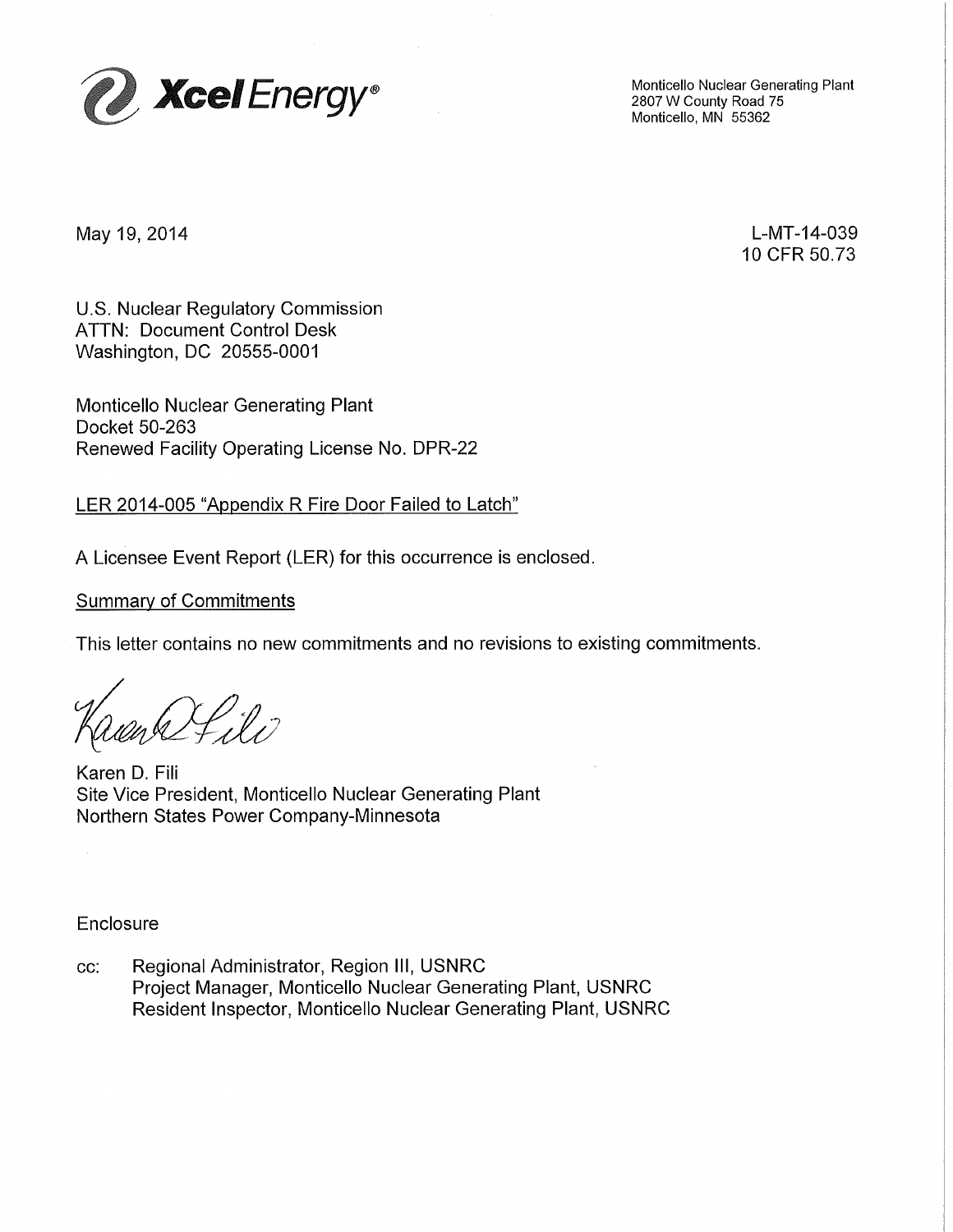

Monticello Nuclear Generating Plant 2807 W County Road 75 Monticello, MN 55362

May 19, 2014

L-MT-14-039 10 CFR 50.73

U.S. Nuclear Regulatory Commission ATTN: Document Control Desk Washington, DC 20555-0001

Monticello Nuclear Generating Plant Docket 50-263 Renewed Facility Operating License No. DPR-22

LER 2014-005 "Appendix R Fire Door Failed to Latch"

A Licensee Event Report (LER) for this occurrence is enclosed.

## Summary of Commitments

This letter contains no new commitments and no revisions to existing commitments.

l :17

Karen D. Fili Site Vice President, Monticello Nuclear Generating Plant Northern States Power Company-Minnesota

Enclosure

cc: Regional Administrator, Region Ill, USNRC Project Manager, Monticello Nuclear Generating Plant, USNRC Resident Inspector, Monticello Nuclear Generating Plant, USNRC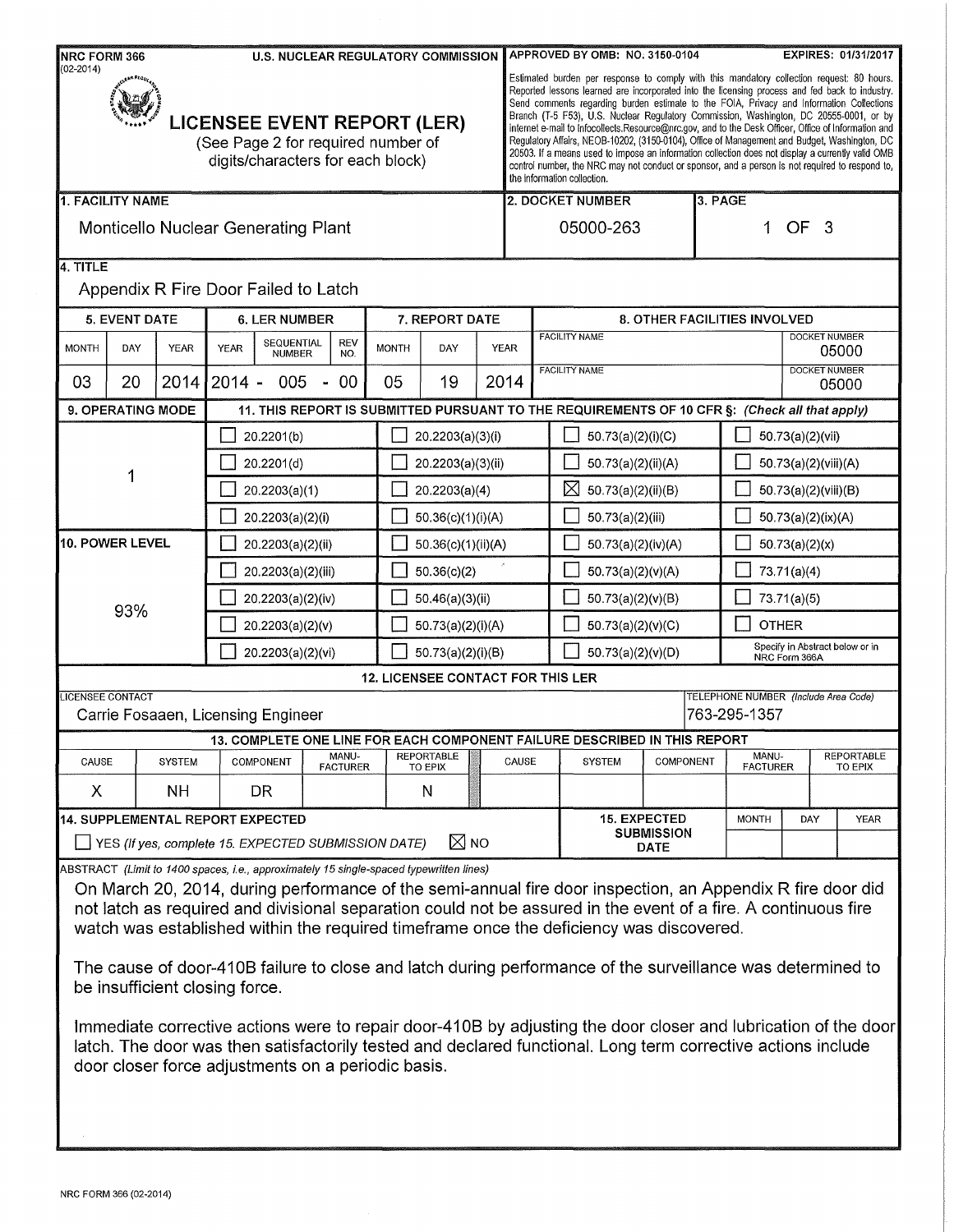| $(02 - 2014)$<br><b>LICENSEE EVENT REPORT (LER)</b><br>(See Page 2 for required number of<br>digits/characters for each block) |               |                   |                             |                          |                                          |                              |      | Estimated burden per response to comply with this mandatory collection request: 80 hours.<br>Reported lessons learned are incorporated into the licensing process and fed back to industry.<br>Send comments regarding burden estimate to the FOIA, Privacy and Information Collections<br>Branch (T-5 F53), U.S. Nuclear Regulatory Commission, Washington, DC 20555-0001, or by<br>internet e-mail to Infocollects.Resource@nrc.gov, and to the Desk Officer, Office of Information and<br>Regulatory Affairs, NEOB-10202, (3150-0104), Office of Management and Budget, Washington, DC<br>20503. If a means used to impose an information collection does not display a currently valid OMB<br>control number, the NRC may not conduct or sponsor, and a person is not required to respond to,<br>the information collection. |                                   |                                                                                                                                                                                                                                                                                                                                                                                                                                       |                      |                                                  |                          |                      |                                     |  |
|--------------------------------------------------------------------------------------------------------------------------------|---------------|-------------------|-----------------------------|--------------------------|------------------------------------------|------------------------------|------|----------------------------------------------------------------------------------------------------------------------------------------------------------------------------------------------------------------------------------------------------------------------------------------------------------------------------------------------------------------------------------------------------------------------------------------------------------------------------------------------------------------------------------------------------------------------------------------------------------------------------------------------------------------------------------------------------------------------------------------------------------------------------------------------------------------------------------|-----------------------------------|---------------------------------------------------------------------------------------------------------------------------------------------------------------------------------------------------------------------------------------------------------------------------------------------------------------------------------------------------------------------------------------------------------------------------------------|----------------------|--------------------------------------------------|--------------------------|----------------------|-------------------------------------|--|
| 1. FACILITY NAME                                                                                                               |               |                   |                             |                          |                                          |                              |      |                                                                                                                                                                                                                                                                                                                                                                                                                                                                                                                                                                                                                                                                                                                                                                                                                                  |                                   | 2. DOCKET NUMBER                                                                                                                                                                                                                                                                                                                                                                                                                      |                      | 3. PAGE                                          |                          |                      |                                     |  |
| <b>Monticello Nuclear Generating Plant</b>                                                                                     |               |                   |                             |                          |                                          |                              |      | OF<br>05000-263<br>- 3<br>1                                                                                                                                                                                                                                                                                                                                                                                                                                                                                                                                                                                                                                                                                                                                                                                                      |                                   |                                                                                                                                                                                                                                                                                                                                                                                                                                       |                      |                                                  |                          |                      |                                     |  |
| 14. TITLE<br>Appendix R Fire Door Failed to Latch                                                                              |               |                   |                             |                          |                                          |                              |      |                                                                                                                                                                                                                                                                                                                                                                                                                                                                                                                                                                                                                                                                                                                                                                                                                                  |                                   |                                                                                                                                                                                                                                                                                                                                                                                                                                       |                      |                                                  |                          |                      |                                     |  |
| <b>5. EVENT DATE</b>                                                                                                           |               |                   | <b>6. LER NUMBER</b>        |                          |                                          | 7. REPORT DATE               |      | 8. OTHER FACILITIES INVOLVED                                                                                                                                                                                                                                                                                                                                                                                                                                                                                                                                                                                                                                                                                                                                                                                                     |                                   |                                                                                                                                                                                                                                                                                                                                                                                                                                       |                      |                                                  |                          |                      |                                     |  |
| DAY<br><b>MONTH</b>                                                                                                            | <b>YEAR</b>   | <b>YEAR</b>       | SEQUENTIAL<br><b>NUMBER</b> | REV<br>NO.               | <b>MONTH</b>                             | DAY                          | YEAR |                                                                                                                                                                                                                                                                                                                                                                                                                                                                                                                                                                                                                                                                                                                                                                                                                                  |                                   | <b>FACILITY NAME</b>                                                                                                                                                                                                                                                                                                                                                                                                                  |                      |                                                  |                          | <b>DOCKET NUMBER</b> | 05000                               |  |
| 03<br>20                                                                                                                       |               | 2014 2014 -       | 005                         | 00                       | 05                                       | 19                           | 2014 |                                                                                                                                                                                                                                                                                                                                                                                                                                                                                                                                                                                                                                                                                                                                                                                                                                  |                                   | <b>FACILITY NAME</b>                                                                                                                                                                                                                                                                                                                                                                                                                  |                      |                                                  | <b>DOCKET NUMBER</b>     | 05000                |                                     |  |
| 9. OPERATING MODE<br>11. THIS REPORT IS SUBMITTED PURSUANT TO THE REQUIREMENTS OF 10 CFR §: (Check all that apply)             |               |                   |                             |                          |                                          |                              |      |                                                                                                                                                                                                                                                                                                                                                                                                                                                                                                                                                                                                                                                                                                                                                                                                                                  |                                   |                                                                                                                                                                                                                                                                                                                                                                                                                                       |                      |                                                  |                          |                      |                                     |  |
|                                                                                                                                |               | 20.2201(b)        |                             |                          |                                          | 20.2203(a)(3)(i)             |      |                                                                                                                                                                                                                                                                                                                                                                                                                                                                                                                                                                                                                                                                                                                                                                                                                                  |                                   | 50.73(a)(2)(i)(C)                                                                                                                                                                                                                                                                                                                                                                                                                     |                      | 50.73(a)(2)(vii)                                 |                          |                      |                                     |  |
|                                                                                                                                |               | 20.2201(d)        |                             |                          |                                          | 20.2203(a)(3)(ii)            |      |                                                                                                                                                                                                                                                                                                                                                                                                                                                                                                                                                                                                                                                                                                                                                                                                                                  |                                   | 50.73(a)(2)(ii)(A)                                                                                                                                                                                                                                                                                                                                                                                                                    |                      |                                                  | 50.73(a)(2)(viii)(A)     |                      |                                     |  |
|                                                                                                                                |               |                   | 20.2203(a)(1)               |                          | 20.2203(a)(4)                            |                              |      |                                                                                                                                                                                                                                                                                                                                                                                                                                                                                                                                                                                                                                                                                                                                                                                                                                  | $\boxtimes$<br>50.73(a)(2)(ii)(B) |                                                                                                                                                                                                                                                                                                                                                                                                                                       | 50.73(a)(2)(viii)(B) |                                                  |                          |                      |                                     |  |
|                                                                                                                                |               | 20.2203(a)(2)(i)  |                             | 50.36(c)(1)(i)(A)        |                                          |                              |      | 50.73(a)(2)(iii)                                                                                                                                                                                                                                                                                                                                                                                                                                                                                                                                                                                                                                                                                                                                                                                                                 |                                   |                                                                                                                                                                                                                                                                                                                                                                                                                                       | 50.73(a)(2)(ix)(A)   |                                                  |                          |                      |                                     |  |
| <b>10. POWER LEVEL</b>                                                                                                         |               | 20.2203(a)(2)(ii) |                             |                          |                                          | 50.36(c)(1)(ii)(A)           |      |                                                                                                                                                                                                                                                                                                                                                                                                                                                                                                                                                                                                                                                                                                                                                                                                                                  |                                   | 50.73(a)(2)(iv)(A)                                                                                                                                                                                                                                                                                                                                                                                                                    |                      |                                                  | 50.73(a)(2)(x)           |                      |                                     |  |
|                                                                                                                                |               |                   | 20.2203(a)(2)(iii)          |                          | 50.36(c)(2)                              |                              |      |                                                                                                                                                                                                                                                                                                                                                                                                                                                                                                                                                                                                                                                                                                                                                                                                                                  | 50.73(a)(2)(v)(A)                 |                                                                                                                                                                                                                                                                                                                                                                                                                                       |                      | 73.71(a)(4)                                      |                          |                      |                                     |  |
|                                                                                                                                |               |                   | 20.2203(a)(2)(iv)           |                          | 50.46(a)(3)(ii)                          |                              |      |                                                                                                                                                                                                                                                                                                                                                                                                                                                                                                                                                                                                                                                                                                                                                                                                                                  | 50.73(a)(2)(v)(B)                 |                                                                                                                                                                                                                                                                                                                                                                                                                                       |                      | 73.71(a)(5)                                      |                          |                      |                                     |  |
| 93%                                                                                                                            |               |                   | 20.2203(a)(2)(v)            |                          | 50.73(a)(2)(i)(A)                        |                              |      | 50.73(a)(2)(v)(C)                                                                                                                                                                                                                                                                                                                                                                                                                                                                                                                                                                                                                                                                                                                                                                                                                |                                   |                                                                                                                                                                                                                                                                                                                                                                                                                                       |                      | <b>OTHER</b>                                     |                          |                      |                                     |  |
|                                                                                                                                |               |                   | 20.2203(a)(2)(vi)           |                          | 50.73(a)(2)(i)(B)                        |                              |      | 50.73(a)(2)(v)(D)                                                                                                                                                                                                                                                                                                                                                                                                                                                                                                                                                                                                                                                                                                                                                                                                                |                                   |                                                                                                                                                                                                                                                                                                                                                                                                                                       |                      | Specify in Abstract below or in<br>NRC Form 366A |                          |                      |                                     |  |
|                                                                                                                                |               |                   |                             |                          | <b>12. LICENSEE CONTACT FOR THIS LER</b> |                              |      |                                                                                                                                                                                                                                                                                                                                                                                                                                                                                                                                                                                                                                                                                                                                                                                                                                  |                                   |                                                                                                                                                                                                                                                                                                                                                                                                                                       |                      |                                                  |                          |                      |                                     |  |
| <b>LICENSEE CONTACT</b><br>Carrie Fosaaen, Licensing Engineer                                                                  |               |                   |                             |                          |                                          |                              |      | TELEPHONE NUMBER (Include Area Code)<br>763-295-1357                                                                                                                                                                                                                                                                                                                                                                                                                                                                                                                                                                                                                                                                                                                                                                             |                                   |                                                                                                                                                                                                                                                                                                                                                                                                                                       |                      |                                                  |                          |                      |                                     |  |
|                                                                                                                                |               |                   |                             |                          |                                          |                              |      |                                                                                                                                                                                                                                                                                                                                                                                                                                                                                                                                                                                                                                                                                                                                                                                                                                  |                                   | 13. COMPLETE ONE LINE FOR EACH COMPONENT FAILURE DESCRIBED IN THIS REPORT                                                                                                                                                                                                                                                                                                                                                             |                      |                                                  |                          |                      |                                     |  |
| CAUSE                                                                                                                          | <b>SYSTEM</b> |                   | COMPONENT                   | MANU-<br><b>FACTURER</b> |                                          | <b>REPORTABLE</b><br>TO EPIX |      | CAUSE                                                                                                                                                                                                                                                                                                                                                                                                                                                                                                                                                                                                                                                                                                                                                                                                                            |                                   | <b>SYSTEM</b>                                                                                                                                                                                                                                                                                                                                                                                                                         | COMPONENT            |                                                  | MANU-<br><b>FACTURER</b> |                      | <b>REPORTABLE</b><br><b>TO EPIX</b> |  |
| X.                                                                                                                             | NH.           |                   | DR.                         |                          |                                          | N                            |      |                                                                                                                                                                                                                                                                                                                                                                                                                                                                                                                                                                                                                                                                                                                                                                                                                                  |                                   |                                                                                                                                                                                                                                                                                                                                                                                                                                       |                      |                                                  |                          |                      |                                     |  |
| 14. SUPPLEMENTAL REPORT EXPECTED                                                                                               |               |                   |                             |                          |                                          |                              |      |                                                                                                                                                                                                                                                                                                                                                                                                                                                                                                                                                                                                                                                                                                                                                                                                                                  | 15. EXPECTED<br><b>SUBMISSION</b> |                                                                                                                                                                                                                                                                                                                                                                                                                                       |                      | <b>MONTH</b>                                     | DAY                      |                      | <b>YEAR</b>                         |  |
| $\boxtimes$ NO<br>YES (If yes, complete 15. EXPECTED SUBMISSION DATE)                                                          |               |                   |                             |                          |                                          |                              |      |                                                                                                                                                                                                                                                                                                                                                                                                                                                                                                                                                                                                                                                                                                                                                                                                                                  |                                   | <b>DATE</b>                                                                                                                                                                                                                                                                                                                                                                                                                           |                      |                                                  |                          |                      |                                     |  |
| ABSTRACT (Limit to 1400 spaces, i.e., approximately 15 single-spaced typewritten lines)<br>be insufficient closing force.      |               |                   |                             |                          |                                          |                              |      |                                                                                                                                                                                                                                                                                                                                                                                                                                                                                                                                                                                                                                                                                                                                                                                                                                  |                                   | On March 20, 2014, during performance of the semi-annual fire door inspection, an Appendix R fire door did<br>not latch as required and divisional separation could not be assured in the event of a fire. A continuous fire<br>watch was established within the required timeframe once the deficiency was discovered.<br>The cause of door-410B failure to close and latch during performance of the surveillance was determined to |                      |                                                  |                          |                      |                                     |  |

Immediate corrective actions were to repair door-410B by adjusting the door closer and lubrication of the door| latch. The door was then satisfactorily tested and declared functional. Long term corrective actions include door closer force adjustments on a periodic basis.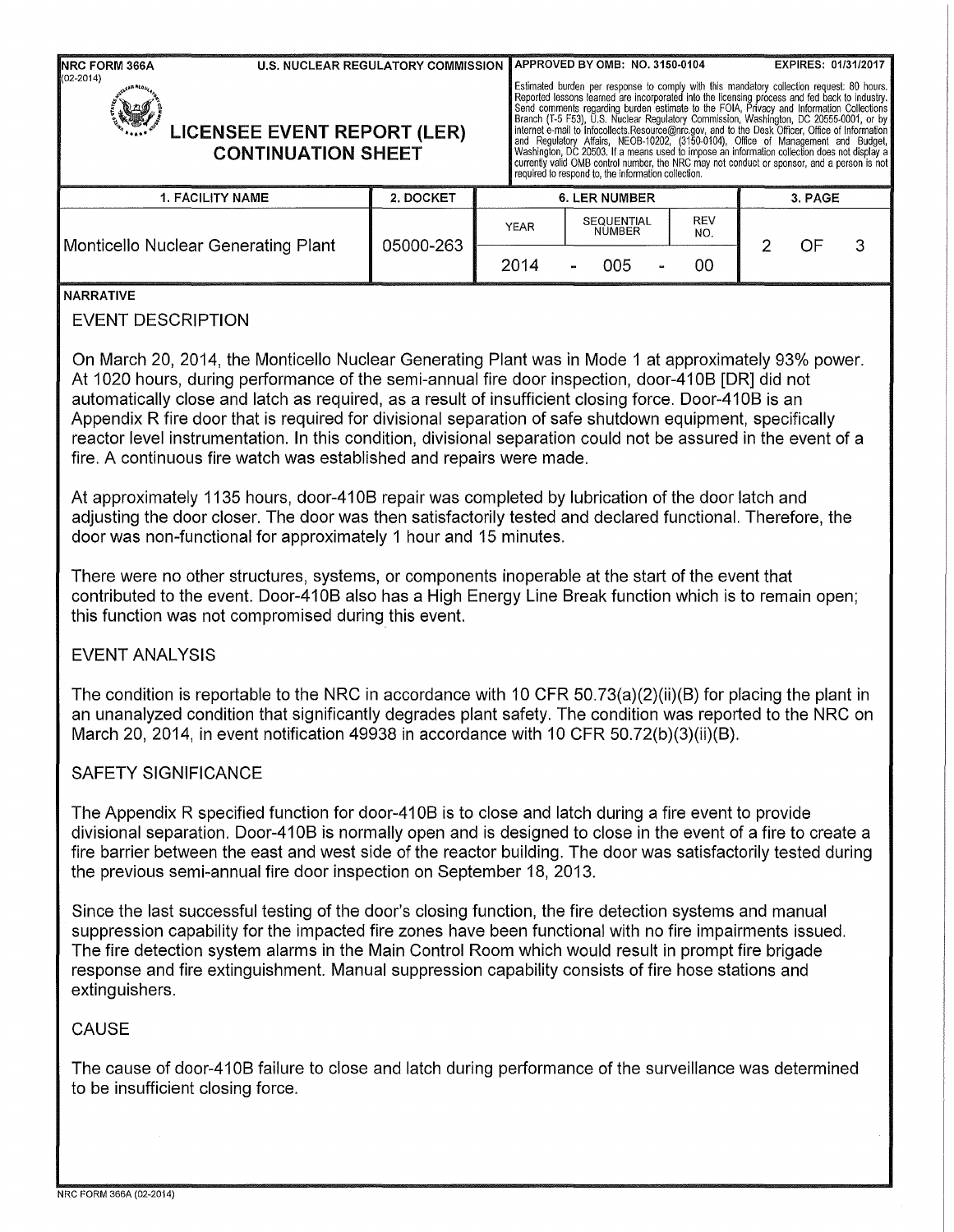| NRC FORM 366A<br><b>U.S. NUCLEAR REGULATORY COMMISSION</b>                                                                                                                                                                                                                                                                                                                                                                                                                                                                                                                                                                                                                                                                   |           |                     | APPROVED BY OMB: NO. 3150-0104                                                                                                                                                                                                                                                                                                                                                                                                                                                                                                                                                                                                     |                         | EXPIRES: 01/31/2017       |  |  |  |  |
|------------------------------------------------------------------------------------------------------------------------------------------------------------------------------------------------------------------------------------------------------------------------------------------------------------------------------------------------------------------------------------------------------------------------------------------------------------------------------------------------------------------------------------------------------------------------------------------------------------------------------------------------------------------------------------------------------------------------------|-----------|---------------------|------------------------------------------------------------------------------------------------------------------------------------------------------------------------------------------------------------------------------------------------------------------------------------------------------------------------------------------------------------------------------------------------------------------------------------------------------------------------------------------------------------------------------------------------------------------------------------------------------------------------------------|-------------------------|---------------------------|--|--|--|--|
| (02-2014)<br><b>LICENSEE EVENT REPORT (LER)</b><br><b>CONTINUATION SHEET</b>                                                                                                                                                                                                                                                                                                                                                                                                                                                                                                                                                                                                                                                 |           |                     | Estimated burden per response to comply with this mandatory collection request: 80 hours.<br>Reported lessons learned are incorporated into the licensing process and fed back to industry.<br>Send comments regarding burden estima<br>Branch (T-5 F53), U.S. Nuclear Regulatory Commission, Washington, DC 20555-0001, or by<br>internet e-mail to Infocollects.Resource@nrc.gov, and to the Desk Officer, Office of Information<br>and Regulatory Affairs, NEOB-10202, (3<br>currently valid OMB control number, the NRC may not conduct or sponsor, and a person is not<br>required to respond to, the information collection. |                         |                           |  |  |  |  |
| <b>1. FACILITY NAME</b>                                                                                                                                                                                                                                                                                                                                                                                                                                                                                                                                                                                                                                                                                                      | 2. DOCKET |                     | <b>6. LER NUMBER</b>                                                                                                                                                                                                                                                                                                                                                                                                                                                                                                                                                                                                               |                         | 3. PAGE                   |  |  |  |  |
| Monticello Nuclear Generating Plant                                                                                                                                                                                                                                                                                                                                                                                                                                                                                                                                                                                                                                                                                          | 05000-263 | <b>YEAR</b><br>2014 | SEQUENTIAL<br><b>NUMBER</b><br>005                                                                                                                                                                                                                                                                                                                                                                                                                                                                                                                                                                                                 | <b>REV</b><br>NO.<br>00 | $\overline{2}$<br>OF<br>3 |  |  |  |  |
| <b>NARRATIVE</b><br><b>EVENT DESCRIPTION</b>                                                                                                                                                                                                                                                                                                                                                                                                                                                                                                                                                                                                                                                                                 |           |                     |                                                                                                                                                                                                                                                                                                                                                                                                                                                                                                                                                                                                                                    |                         |                           |  |  |  |  |
| On March 20, 2014, the Monticello Nuclear Generating Plant was in Mode 1 at approximately 93% power.<br>At 1020 hours, during performance of the semi-annual fire door inspection, door-410B [DR] did not<br>automatically close and latch as required, as a result of insufficient closing force. Door-410B is an<br>Appendix R fire door that is required for divisional separation of safe shutdown equipment, specifically<br>reactor level instrumentation. In this condition, divisional separation could not be assured in the event of a<br>fire. A continuous fire watch was established and repairs were made.<br>At approximately 1135 hours, door-410B repair was completed by lubrication of the door latch and |           |                     |                                                                                                                                                                                                                                                                                                                                                                                                                                                                                                                                                                                                                                    |                         |                           |  |  |  |  |
| adjusting the door closer. The door was then satisfactorily tested and declared functional. Therefore, the<br>door was non-functional for approximately 1 hour and 15 minutes.                                                                                                                                                                                                                                                                                                                                                                                                                                                                                                                                               |           |                     |                                                                                                                                                                                                                                                                                                                                                                                                                                                                                                                                                                                                                                    |                         |                           |  |  |  |  |
| There were no other structures, systems, or components inoperable at the start of the event that<br>contributed to the event. Door-410B also has a High Energy Line Break function which is to remain open;<br>this function was not compromised during this event.                                                                                                                                                                                                                                                                                                                                                                                                                                                          |           |                     |                                                                                                                                                                                                                                                                                                                                                                                                                                                                                                                                                                                                                                    |                         |                           |  |  |  |  |
| <b>EVENT ANALYSIS</b>                                                                                                                                                                                                                                                                                                                                                                                                                                                                                                                                                                                                                                                                                                        |           |                     |                                                                                                                                                                                                                                                                                                                                                                                                                                                                                                                                                                                                                                    |                         |                           |  |  |  |  |
| The condition is reportable to the NRC in accordance with 10 CFR 50.73(a)(2)(ii)(B) for placing the plant in<br>an unanalyzed condition that significantly degrades plant safety. The condition was reported to the NRC on<br>March 20, 2014, in event notification 49938 in accordance with 10 CFR 50.72(b)(3)(ii)(B).                                                                                                                                                                                                                                                                                                                                                                                                      |           |                     |                                                                                                                                                                                                                                                                                                                                                                                                                                                                                                                                                                                                                                    |                         |                           |  |  |  |  |
| <b>SAFETY SIGNIFICANCE</b>                                                                                                                                                                                                                                                                                                                                                                                                                                                                                                                                                                                                                                                                                                   |           |                     |                                                                                                                                                                                                                                                                                                                                                                                                                                                                                                                                                                                                                                    |                         |                           |  |  |  |  |
| The Appendix R specified function for door-410B is to close and latch during a fire event to provide<br>divisional separation. Door-410B is normally open and is designed to close in the event of a fire to create a<br>fire barrier between the east and west side of the reactor building. The door was satisfactorily tested during<br>the previous semi-annual fire door inspection on September 18, 2013.                                                                                                                                                                                                                                                                                                              |           |                     |                                                                                                                                                                                                                                                                                                                                                                                                                                                                                                                                                                                                                                    |                         |                           |  |  |  |  |
| Since the last successful testing of the door's closing function, the fire detection systems and manual<br>suppression capability for the impacted fire zones have been functional with no fire impairments issued.<br>The fire detection system alarms in the Main Control Room which would result in prompt fire brigade<br>response and fire extinguishment. Manual suppression capability consists of fire hose stations and<br>extinguishers.                                                                                                                                                                                                                                                                           |           |                     |                                                                                                                                                                                                                                                                                                                                                                                                                                                                                                                                                                                                                                    |                         |                           |  |  |  |  |
| <b>CAUSE</b>                                                                                                                                                                                                                                                                                                                                                                                                                                                                                                                                                                                                                                                                                                                 |           |                     |                                                                                                                                                                                                                                                                                                                                                                                                                                                                                                                                                                                                                                    |                         |                           |  |  |  |  |
| The cause of door-410B failure to close and latch during performance of the surveillance was determined<br>to be insufficient closing force.                                                                                                                                                                                                                                                                                                                                                                                                                                                                                                                                                                                 |           |                     |                                                                                                                                                                                                                                                                                                                                                                                                                                                                                                                                                                                                                                    |                         |                           |  |  |  |  |
|                                                                                                                                                                                                                                                                                                                                                                                                                                                                                                                                                                                                                                                                                                                              |           |                     |                                                                                                                                                                                                                                                                                                                                                                                                                                                                                                                                                                                                                                    |                         |                           |  |  |  |  |